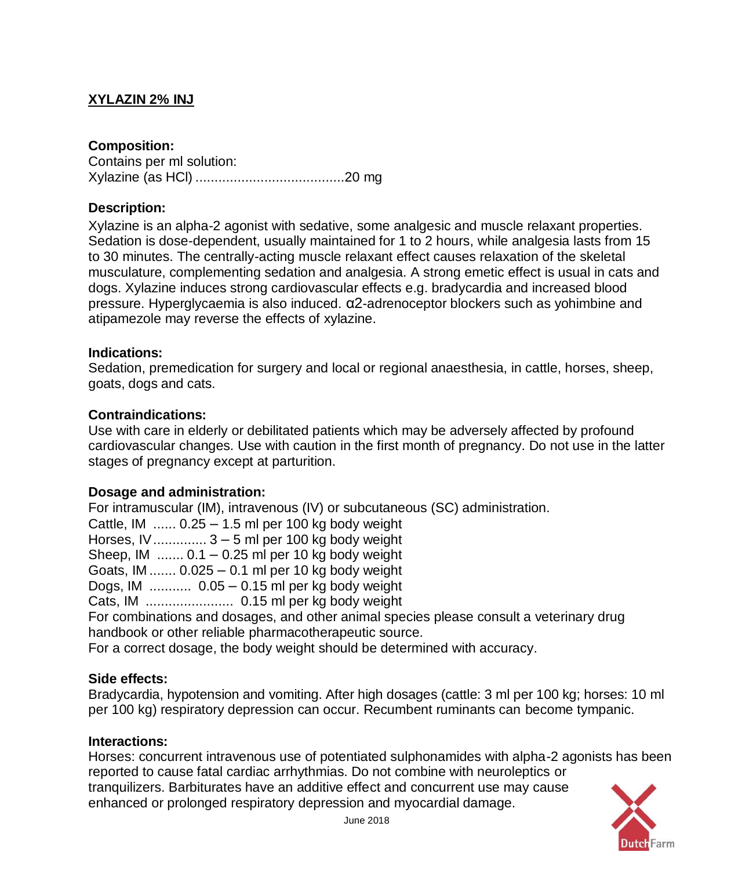# **XYLAZIN 2% INJ**

## **Composition:**

Contains per ml solution: Xylazine (as HCl) .......................................20 mg

## **Description:**

Xylazine is an alpha-2 agonist with sedative, some analgesic and muscle relaxant properties. Sedation is dose-dependent, usually maintained for 1 to 2 hours, while analgesia lasts from 15 to 30 minutes. The centrally-acting muscle relaxant effect causes relaxation of the skeletal musculature, complementing sedation and analgesia. A strong emetic effect is usual in cats and dogs. Xylazine induces strong cardiovascular effects e.g. bradycardia and increased blood pressure. Hyperglycaemia is also induced. α2-adrenoceptor blockers such as yohimbine and atipamezole may reverse the effects of xylazine.

### **Indications:**

Sedation, premedication for surgery and local or regional anaesthesia, in cattle, horses, sheep, goats, dogs and cats.

### **Contraindications:**

Use with care in elderly or debilitated patients which may be adversely affected by profound cardiovascular changes. Use with caution in the first month of pregnancy. Do not use in the latter stages of pregnancy except at parturition.

## **Dosage and administration:**

For intramuscular (IM), intravenous (IV) or subcutaneous (SC) administration. Cattle, IM  $\ldots$  0.25 – 1.5 ml per 100 kg body weight Horses, IV.............. 3 – 5 ml per 100 kg body weight Sheep, IM  $\ldots$  0.1 – 0.25 ml per 10 kg body weight Goats, IM ....... 0.025 – 0.1 ml per 10 kg body weight Dogs, IM ........... 0.05 – 0.15 ml per kg body weight Cats, IM ....................... 0.15 ml per kg body weight For combinations and dosages, and other animal species please consult a veterinary drug handbook or other reliable pharmacotherapeutic source. For a correct dosage, the body weight should be determined with accuracy.

#### **Side effects:**

Bradycardia, hypotension and vomiting. After high dosages (cattle: 3 ml per 100 kg; horses: 10 ml per 100 kg) respiratory depression can occur. Recumbent ruminants can become tympanic.

#### **Interactions:**

Horses: concurrent intravenous use of potentiated sulphonamides with alpha-2 agonists has been reported to cause fatal cardiac arrhythmias. Do not combine with neuroleptics or tranquilizers. Barbiturates have an additive effect and concurrent use may cause enhanced or prolonged respiratory depression and myocardial damage.